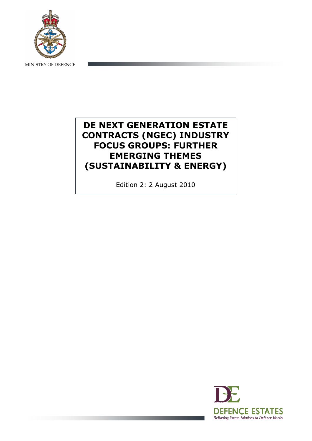

# DE NEXT GENERATION ESTATE CONTRACTS (NGEC) INDUSTRY FOCUS GROUPS: FURTHER EMERGING THEMES (SUSTAINABILITY & ENERGY)

Edition 2: 2 August 2010

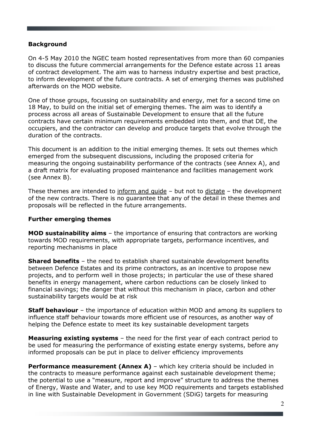### Background

On 4-5 May 2010 the NGEC team hosted representatives from more than 60 companies to discuss the future commercial arrangements for the Defence estate across 11 areas of contract development. The aim was to harness industry expertise and best practice, to inform development of the future contracts. A set of emerging themes was published afterwards on the MOD website.

One of those groups, focussing on sustainability and energy, met for a second time on 18 May, to build on the initial set of emerging themes. The aim was to identify a process across all areas of Sustainable Development to ensure that all the future contracts have certain minimum requirements embedded into them, and that DE, the occupiers, and the contractor can develop and produce targets that evolve through the duration of the contracts.

This document is an addition to the initial emerging themes. It sets out themes which emerged from the subsequent discussions, including the proposed criteria for measuring the ongoing sustainability performance of the contracts (see Annex A), and a draft matrix for evaluating proposed maintenance and facilities management work (see Annex B).

These themes are intended to inform and guide – but not to dictate – the development of the new contracts. There is no guarantee that any of the detail in these themes and proposals will be reflected in the future arrangements.

### Further emerging themes

MOD sustainability aims – the importance of ensuring that contractors are working towards MOD requirements, with appropriate targets, performance incentives, and reporting mechanisms in place

**Shared benefits** – the need to establish shared sustainable development benefits between Defence Estates and its prime contractors, as an incentive to propose new projects, and to perform well in those projects; in particular the use of these shared benefits in energy management, where carbon reductions can be closely linked to financial savings; the danger that without this mechanism in place, carbon and other sustainability targets would be at risk

**Staff behaviour** – the importance of education within MOD and among its suppliers to influence staff behaviour towards more efficient use of resources, as another way of helping the Defence estate to meet its key sustainable development targets

Measuring existing systems - the need for the first year of each contract period to be used for measuring the performance of existing estate energy systems, before any informed proposals can be put in place to deliver efficiency improvements

**Performance measurement (Annex A)** – which key criteria should be included in the contracts to measure performance against each sustainable development theme; the potential to use a "measure, report and improve" structure to address the themes of Energy, Waste and Water, and to use key MOD requirements and targets established in line with Sustainable Development in Government (SDiG) targets for measuring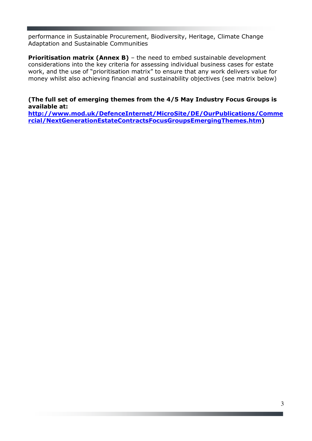performance in Sustainable Procurement, Biodiversity, Heritage, Climate Change Adaptation and Sustainable Communities

**Prioritisation matrix (Annex B)** - the need to embed sustainable development considerations into the key criteria for assessing individual business cases for estate work, and the use of "prioritisation matrix" to ensure that any work delivers value for money whilst also achieving financial and sustainability objectives (see matrix below)

### (The full set of emerging themes from the 4/5 May Industry Focus Groups is available at:

http://www.mod.uk/DefenceInternet/MicroSite/DE/OurPublications/Comme rcial/NextGenerationEstateContractsFocusGroupsEmergingThemes.htm)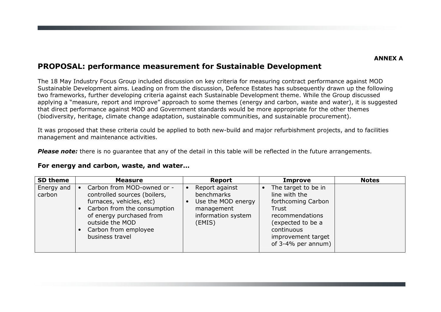## PROPOSAL: performance measurement for Sustainable Development

The 18 May Industry Focus Group included discussion on key criteria for measuring contract performance against MOD Sustainable Development aims. Leading on from the discussion, Defence Estates has subsequently drawn up the following two frameworks, further developing criteria against each Sustainable Development theme. While the Group discussed applying a "measure, report and improve" approach to some themes (energy and carbon, waste and water), it is suggested that direct performance against MOD and Government standards would be more appropriate for the other themes (biodiversity, heritage, climate change adaptation, sustainable communities, and sustainable procurement).

It was proposed that these criteria could be applied to both new-build and major refurbishment projects, and to facilities management and maintenance activities.

**Please note:** there is no quarantee that any of the detail in this table will be reflected in the future arrangements.

#### For energy and carbon, waste, and water…

| <b>SD theme</b>      | <b>Measure</b>                                                                                                                                                                                                  | <b>Report</b>                                                                                    | <b>Improve</b>                                                                                                                                                        | <b>Notes</b> |
|----------------------|-----------------------------------------------------------------------------------------------------------------------------------------------------------------------------------------------------------------|--------------------------------------------------------------------------------------------------|-----------------------------------------------------------------------------------------------------------------------------------------------------------------------|--------------|
| Energy and<br>carbon | Carbon from MOD-owned or -<br>controlled sources (boilers,<br>furnaces, vehicles, etc)<br>Carbon from the consumption<br>of energy purchased from<br>outside the MOD<br>Carbon from employee<br>business travel | Report against<br>benchmarks<br>Use the MOD energy<br>management<br>information system<br>(EMIS) | The target to be in<br>line with the<br>forthcoming Carbon<br>Trust<br>recommendations<br>(expected to be a<br>continuous<br>improvement target<br>of 3-4% per annum) |              |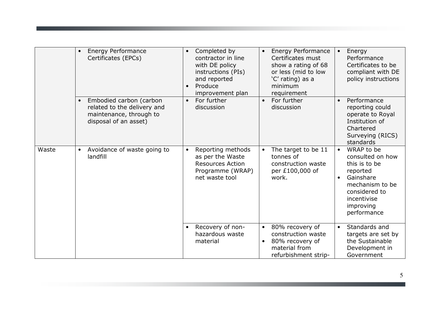|       | $\bullet$ | <b>Energy Performance</b><br>Certificates (EPCs)                                                           | $\bullet$<br>$\bullet$ | Completed by<br>contractor in line<br>with DE policy<br>instructions (PIs)<br>and reported<br>Produce<br>improvement plan |                        | Energy Performance<br>Certificates must<br>show a rating of 68<br>or less (mid to low<br>'C' rating) as a<br>minimum<br>requirement | $\bullet$              | Energy<br>Performance<br>Certificates to be<br>compliant with DE<br>policy instructions                                                                 |
|-------|-----------|------------------------------------------------------------------------------------------------------------|------------------------|---------------------------------------------------------------------------------------------------------------------------|------------------------|-------------------------------------------------------------------------------------------------------------------------------------|------------------------|---------------------------------------------------------------------------------------------------------------------------------------------------------|
|       |           | Embodied carbon (carbon<br>related to the delivery and<br>maintenance, through to<br>disposal of an asset) | $\bullet$              | For further<br>discussion                                                                                                 | $\bullet$              | For further<br>discussion                                                                                                           | $\bullet$              | Performance<br>reporting could<br>operate to Royal<br>Institution of<br>Chartered<br>Surveying (RICS)<br>standards                                      |
| Waste | $\bullet$ | Avoidance of waste going to<br>landfill                                                                    | $\bullet$              | Reporting methods<br>as per the Waste<br><b>Resources Action</b><br>Programme (WRAP)<br>net waste tool                    | $\bullet$              | The target to be 11<br>tonnes of<br>construction waste<br>per £100,000 of<br>work.                                                  | $\bullet$<br>$\bullet$ | WRAP to be<br>consulted on how<br>this is to be<br>reported<br>Gainshare<br>mechanism to be<br>considered to<br>incentivise<br>improving<br>performance |
|       |           |                                                                                                            | $\bullet$              | Recovery of non-<br>hazardous waste<br>material                                                                           | $\bullet$<br>$\bullet$ | 80% recovery of<br>construction waste<br>80% recovery of<br>material from<br>refurbishment strip-                                   | $\bullet$              | Standards and<br>targets are set by<br>the Sustainable<br>Development in<br>Government                                                                  |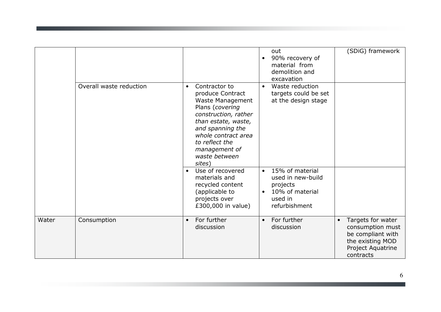|       |                         |                                                                                                                                                                                                                                                                                | out<br>90% recovery of<br>$\bullet$<br>material from<br>demolition and<br>excavation                        | (SDiG) framework                                                                                                              |
|-------|-------------------------|--------------------------------------------------------------------------------------------------------------------------------------------------------------------------------------------------------------------------------------------------------------------------------|-------------------------------------------------------------------------------------------------------------|-------------------------------------------------------------------------------------------------------------------------------|
|       | Overall waste reduction | Contractor to<br>$\bullet$<br>produce Contract<br>Waste Management<br>Plans (covering<br>construction, rather<br>than estate, waste,<br>and spanning the<br>whole contract area<br>to reflect the<br>management of<br>waste between<br>sites)<br>Use of recovered<br>$\bullet$ | Waste reduction<br>$\bullet$<br>targets could be set<br>at the design stage<br>15% of material<br>$\bullet$ |                                                                                                                               |
|       |                         | materials and<br>recycled content<br>(applicable to<br>projects over<br>£300,000 in value)                                                                                                                                                                                     | used in new-build<br>projects<br>10% of material<br>$\bullet$<br>used in<br>refurbishment                   |                                                                                                                               |
| Water | Consumption             | For further<br>$\bullet$<br>discussion                                                                                                                                                                                                                                         | For further<br>$\bullet$<br>discussion                                                                      | Targets for water<br>$\bullet$<br>consumption must<br>be compliant with<br>the existing MOD<br>Project Aquatrine<br>contracts |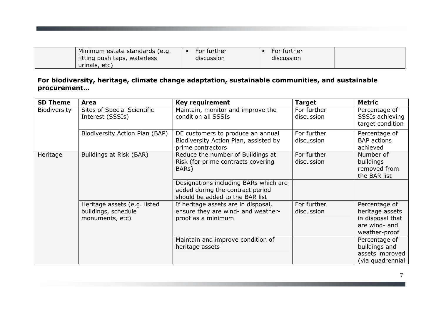| Minimum estate standards (e.g. | For further | For further |  |
|--------------------------------|-------------|-------------|--|
| fitting push taps, waterless   | discussion  | discussion  |  |
| urinals, etc)                  |             |             |  |

### For biodiversity, heritage, climate change adaptation, sustainable communities, and sustainable procurement…

| <b>SD Theme</b> | <b>Area</b>                                                            | <b>Key requirement</b>                                                                                       | <b>Target</b>             | <b>Metric</b>                                                                          |
|-----------------|------------------------------------------------------------------------|--------------------------------------------------------------------------------------------------------------|---------------------------|----------------------------------------------------------------------------------------|
| Biodiversity    | Sites of Special Scientific<br>Interest (SSSIs)                        | Maintain, monitor and improve the<br>condition all SSSIs                                                     | For further<br>discussion | Percentage of<br>SSSIs achieving<br>target condition                                   |
|                 | Biodiversity Action Plan (BAP)                                         | DE customers to produce an annual<br>Biodiversity Action Plan, assisted by<br>prime contractors              | For further<br>discussion | Percentage of<br><b>BAP</b> actions<br>achieved                                        |
| Heritage        | Buildings at Risk (BAR)                                                | Reduce the number of Buildings at<br>Risk (for prime contracts covering<br>BAR <sub>S</sub> )                | For further<br>discussion | Number of<br>buildings<br>removed from<br>the BAR list                                 |
|                 |                                                                        | Designations including BARs which are<br>added during the contract period<br>should be added to the BAR list |                           |                                                                                        |
|                 | Heritage assets (e.g. listed<br>buildings, schedule<br>monuments, etc) | If heritage assets are in disposal,<br>ensure they are wind- and weather-<br>proof as a minimum              | For further<br>discussion | Percentage of<br>heritage assets<br>in disposal that<br>are wind- and<br>weather-proof |
|                 |                                                                        | Maintain and improve condition of<br>heritage assets                                                         |                           | Percentage of<br>buildings and<br>assets improved<br>(via quadrennial                  |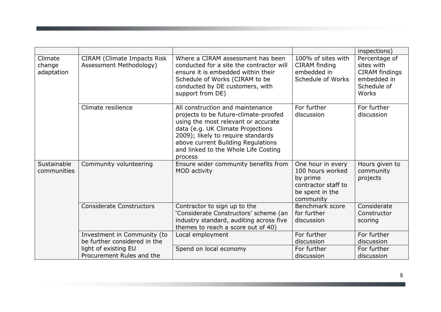|                                 |                                                               |                                                                                                                                                                                                                                                                                      |                                                                                                          | inspections)                                                                                |
|---------------------------------|---------------------------------------------------------------|--------------------------------------------------------------------------------------------------------------------------------------------------------------------------------------------------------------------------------------------------------------------------------------|----------------------------------------------------------------------------------------------------------|---------------------------------------------------------------------------------------------|
| Climate<br>change<br>adaptation | <b>CIRAM</b> (Climate Impacts Risk<br>Assessment Methodology) | Where a CIRAM assessment has been<br>conducted for a site the contractor will<br>ensure it is embedded within their<br>Schedule of Works (CIRAM to be<br>conducted by DE customers, with<br>support from DE)                                                                         | 100% of sites with<br>CIRAM finding<br>embedded in<br>Schedule of Works                                  | Percentage of<br>sites with<br><b>CIRAM</b> findings<br>embedded in<br>Schedule of<br>Works |
|                                 | Climate resilience                                            | All construction and maintenance<br>projects to be future-climate-proofed<br>using the most relevant or accurate<br>data (e.g. UK Climate Projections<br>2009); likely to require standards<br>above current Building Regulations<br>and linked to the Whole Life Costing<br>process | For further<br>discussion                                                                                | For further<br>discussion                                                                   |
| Sustainable<br>communities      | Community volunteering                                        | Ensure wider community benefits from<br>MOD activity                                                                                                                                                                                                                                 | One hour in every<br>100 hours worked<br>by prime<br>contractor staff to<br>be spent in the<br>community | Hours given to<br>community<br>projects                                                     |
|                                 | <b>Considerate Constructors</b>                               | Contractor to sign up to the<br>'Considerate Constructors' scheme (an<br>industry standard, auditing across five<br>themes to reach a score out of 40)                                                                                                                               | Benchmark score<br>for further<br>discussion                                                             | Considerate<br>Constructor<br>scoring                                                       |
|                                 | Investment in Community (to<br>be further considered in the   | Local employment                                                                                                                                                                                                                                                                     | For further<br>discussion                                                                                | For further<br>discussion                                                                   |
|                                 | light of existing EU<br>Procurement Rules and the             | Spend on local economy                                                                                                                                                                                                                                                               | For further<br>discussion                                                                                | For further<br>discussion                                                                   |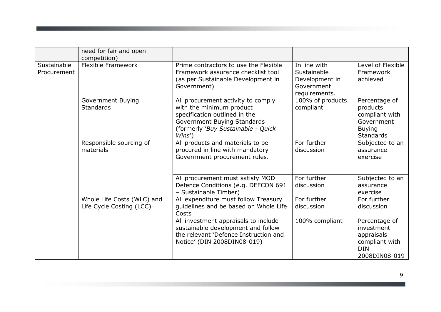|                            | need for fair and open<br>competition)                 |                                                                                                                                                                               |                                                                              |                                                                                                |
|----------------------------|--------------------------------------------------------|-------------------------------------------------------------------------------------------------------------------------------------------------------------------------------|------------------------------------------------------------------------------|------------------------------------------------------------------------------------------------|
| Sustainable<br>Procurement | <b>Flexible Framework</b>                              | Prime contractors to use the Flexible<br>Framework assurance checklist tool<br>(as per Sustainable Development in<br>Government)                                              | In line with<br>Sustainable<br>Development in<br>Government<br>requirements. | Level of Flexible<br>Framework<br>achieved                                                     |
|                            | <b>Government Buying</b><br><b>Standards</b>           | All procurement activity to comply<br>with the minimum product<br>specification outlined in the<br>Government Buying Standards<br>(formerly 'Buy Sustainable - Quick<br>Wins' | 100% of products<br>compliant                                                | Percentage of<br>products<br>compliant with<br>Government<br><b>Buying</b><br><b>Standards</b> |
|                            | Responsible sourcing of<br>materials                   | All products and materials to be<br>procured in line with mandatory<br>Government procurement rules.                                                                          | For further<br>discussion                                                    | Subjected to an<br>assurance<br>exercise                                                       |
|                            |                                                        | All procurement must satisfy MOD<br>Defence Conditions (e.g. DEFCON 691<br>- Sustainable Timber)                                                                              | For further<br>discussion                                                    | Subjected to an<br>assurance<br>exercise                                                       |
|                            | Whole Life Costs (WLC) and<br>Life Cycle Costing (LCC) | All expenditure must follow Treasury<br>quidelines and be based on Whole Life<br>Costs                                                                                        | For further<br>discussion                                                    | For further<br>discussion                                                                      |
|                            |                                                        | All investment appraisals to include<br>sustainable development and follow<br>the relevant 'Defence Instruction and<br>Notice' (DIN 2008DIN08-019)                            | 100% compliant                                                               | Percentage of<br>investment<br>appraisals<br>compliant with<br><b>DIN</b><br>2008DIN08-019     |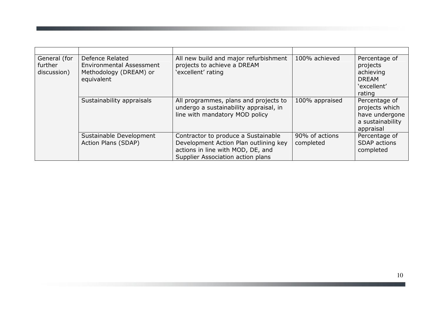| General (for<br>further<br>discussion) | Defence Related<br><b>Environmental Assessment</b><br>Methodology (DREAM) or<br>equivalent | All new build and major refurbishment<br>projects to achieve a DREAM<br>'excellent' rating                                                             | 100% achieved               | Percentage of<br>projects<br>achieving<br><b>DREAM</b><br>'excellent'<br>rating    |
|----------------------------------------|--------------------------------------------------------------------------------------------|--------------------------------------------------------------------------------------------------------------------------------------------------------|-----------------------------|------------------------------------------------------------------------------------|
|                                        | Sustainability appraisals                                                                  | All programmes, plans and projects to<br>undergo a sustainability appraisal, in<br>line with mandatory MOD policy                                      | 100% appraised              | Percentage of<br>projects which<br>have undergone<br>a sustainability<br>appraisal |
|                                        | Sustainable Development<br>Action Plans (SDAP)                                             | Contractor to produce a Sustainable<br>Development Action Plan outlining key<br>actions in line with MOD, DE, and<br>Supplier Association action plans | 90% of actions<br>completed | Percentage of<br><b>SDAP</b> actions<br>completed                                  |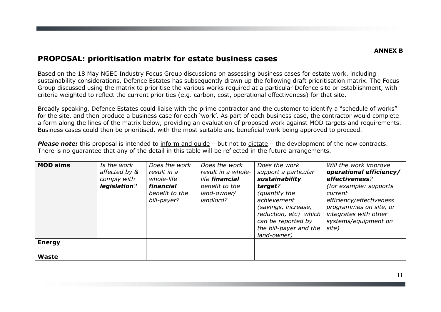### PROPOSAL: prioritisation matrix for estate business cases

Based on the 18 May NGEC Industry Focus Group discussions on assessing business cases for estate work, including sustainability considerations, Defence Estates has subsequently drawn up the following draft prioritisation matrix. The Focus Group discussed using the matrix to prioritise the various works required at a particular Defence site or establishment, with criteria weighted to reflect the current priorities (e.g. carbon, cost, operational effectiveness) for that site.

Broadly speaking, Defence Estates could liaise with the prime contractor and the customer to identify a "schedule of works" for the site, and then produce a business case for each 'work'. As part of each business case, the contractor would complete a form along the lines of the matrix below, providing an evaluation of proposed work against MOD targets and requirements. Business cases could then be prioritised, with the most suitable and beneficial work being approved to proceed.

**Please note:** this proposal is intended to inform and quide  $-$  but not to dictate  $-$  the development of the new contracts. There is no guarantee that any of the detail in this table will be reflected in the future arrangements.

| <b>MOD aims</b> | Is the work<br>affected by &<br>comply with<br>legislation? | Does the work<br>result in a<br>whole-life<br>financial<br>benefit to the<br>bill-payer? | Does the work<br>result in a whole-<br>life <b>financial</b><br>benefit to the<br>land-owner/<br>landlord? | Does the work<br>support a particular<br>sustainability<br>target?<br>(quantify the<br>achievement<br>(savings, increase,<br>reduction, etc) which<br>can be reported by<br>the bill-payer and the<br>land-owner) | Will the work improve<br>operational efficiency/<br>effectiveness?<br>(for example: supports)<br>current<br>efficiency/effectiveness<br>programmes on site, or<br>integrates with other<br>systems/equipment on<br>site) |
|-----------------|-------------------------------------------------------------|------------------------------------------------------------------------------------------|------------------------------------------------------------------------------------------------------------|-------------------------------------------------------------------------------------------------------------------------------------------------------------------------------------------------------------------|--------------------------------------------------------------------------------------------------------------------------------------------------------------------------------------------------------------------------|
| <b>Energy</b>   |                                                             |                                                                                          |                                                                                                            |                                                                                                                                                                                                                   |                                                                                                                                                                                                                          |
| <b>Waste</b>    |                                                             |                                                                                          |                                                                                                            |                                                                                                                                                                                                                   |                                                                                                                                                                                                                          |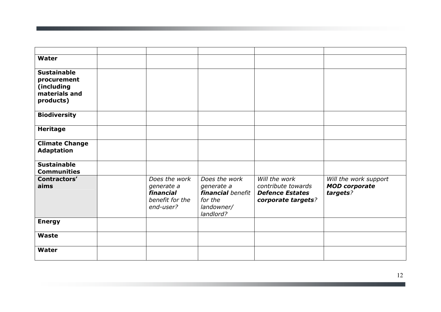| Water                                                                         |                                                                          |                                                                                               |                                                                                     |                                                           |
|-------------------------------------------------------------------------------|--------------------------------------------------------------------------|-----------------------------------------------------------------------------------------------|-------------------------------------------------------------------------------------|-----------------------------------------------------------|
| <b>Sustainable</b><br>procurement<br>(including<br>materials and<br>products) |                                                                          |                                                                                               |                                                                                     |                                                           |
| <b>Biodiversity</b>                                                           |                                                                          |                                                                                               |                                                                                     |                                                           |
| <b>Heritage</b>                                                               |                                                                          |                                                                                               |                                                                                     |                                                           |
| <b>Climate Change</b><br><b>Adaptation</b>                                    |                                                                          |                                                                                               |                                                                                     |                                                           |
| <b>Sustainable</b><br><b>Communities</b>                                      |                                                                          |                                                                                               |                                                                                     |                                                           |
| Contractors'<br>aims                                                          | Does the work<br>generate a<br>financial<br>benefit for the<br>end-user? | Does the work<br>generate a<br><b>financial</b> benefit<br>for the<br>landowner/<br>landlord? | Will the work<br>contribute towards<br><b>Defence Estates</b><br>corporate targets? | Will the work support<br><b>MOD</b> corporate<br>targets? |
| <b>Energy</b>                                                                 |                                                                          |                                                                                               |                                                                                     |                                                           |
| <b>Waste</b>                                                                  |                                                                          |                                                                                               |                                                                                     |                                                           |
| Water                                                                         |                                                                          |                                                                                               |                                                                                     |                                                           |